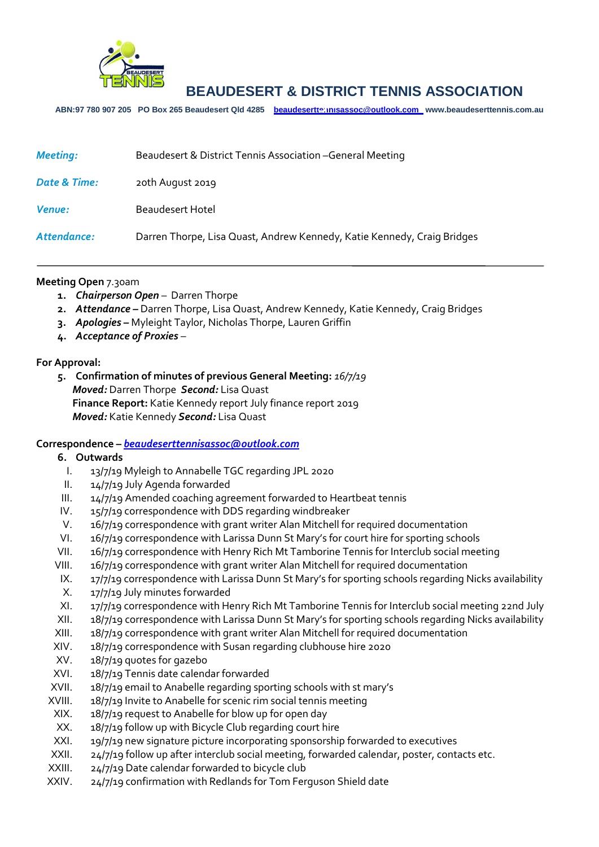

**ABN:97 780 907 205 PO Box 265 Beaudesert Qld 4285 [beaudeserttennisassoc@outlook.com](mailto:beaudeserttennisassoc@outlook.com) www.beaudeserttennis.com.au** *Agenda*

| <b>Meeting:</b> | Beaudesert & District Tennis Association - General Meeting              |
|-----------------|-------------------------------------------------------------------------|
| Date & Time:    | 20th August 2019                                                        |
| <b>Venue:</b>   | <b>Beaudesert Hotel</b>                                                 |
| Attendance:     | Darren Thorpe, Lisa Quast, Andrew Kennedy, Katie Kennedy, Craig Bridges |

### **Meeting Open** 7.30am

- **1.** *Chairperson Open* Darren Thorpe
- **2.** *Attendance –* Darren Thorpe, Lisa Quast, Andrew Kennedy, Katie Kennedy, Craig Bridges
- **3.** *Apologies –* Myleight Taylor, Nicholas Thorpe, Lauren Griffin
- **4.** *Acceptance of Proxies* –

#### **For Approval:**

**5. Confirmation of minutes of previous General Meeting:** *16/7/19 Moved:* Darren Thorpe *Second:* Lisa Quast **Finance Report:** Katie Kennedy report July finance report 2019 *Moved:* Katie Kennedy *Second:* Lisa Quast

### **Correspondence –** *[beaudeserttennisassoc@outlook.com](mailto:beaudeserttennisassoc@outlook.com)*

#### **6. Outwards**

- I. 13/7/19 Myleigh to Annabelle TGC regarding JPL 2020
- II. 14/7/19 July Agenda forwarded
- III. 14/7/19 Amended coaching agreement forwarded to Heartbeat tennis
- IV. 15/7/19 correspondence with DDS regarding windbreaker
- V. 16/7/19 correspondence with grant writer Alan Mitchell for required documentation
- VI. 16/7/19 correspondence with Larissa Dunn St Mary's for court hire for sporting schools
- VII. 16/7/19 correspondence with Henry Rich Mt Tamborine Tennis for Interclub social meeting
- VIII. 16/7/19 correspondence with grant writer Alan Mitchell for required documentation
- IX. 17/7/19 correspondence with Larissa Dunn St Mary's for sporting schools regarding Nicks availability
- X. 17/7/19 July minutes forwarded
- XI. 17/7/19 correspondence with Henry Rich Mt Tamborine Tennis for Interclub social meeting 22nd July
- XII. 18/7/19 correspondence with Larissa Dunn St Mary's for sporting schools regarding Nicks availability
- XIII. 18/7/19 correspondence with grant writer Alan Mitchell for required documentation
- XIV. 18/7/19 correspondence with Susan regarding clubhouse hire 2020
- XV. 18/7/19 quotes for gazebo
- XVI. 18/7/19 Tennis date calendar forwarded
- XVII. 18/7/19 email to Anabelle regarding sporting schools with st mary's
- XVIII. 18/7/19 Invite to Anabelle for scenic rim social tennis meeting
- XIX. 18/7/19 request to Anabelle for blow up for open day
- XX. 18/7/19 follow up with Bicycle Club regarding court hire
- XXI. 19/7/19 new signature picture incorporating sponsorship forwarded to executives
- XXII. 24/7/19 follow up after interclub social meeting, forwarded calendar, poster, contacts etc.
- XXIII. 24/7/19 Date calendar forwarded to bicycle club
- XXIV. 24/7/19 confirmation with Redlands for Tom Ferguson Shield date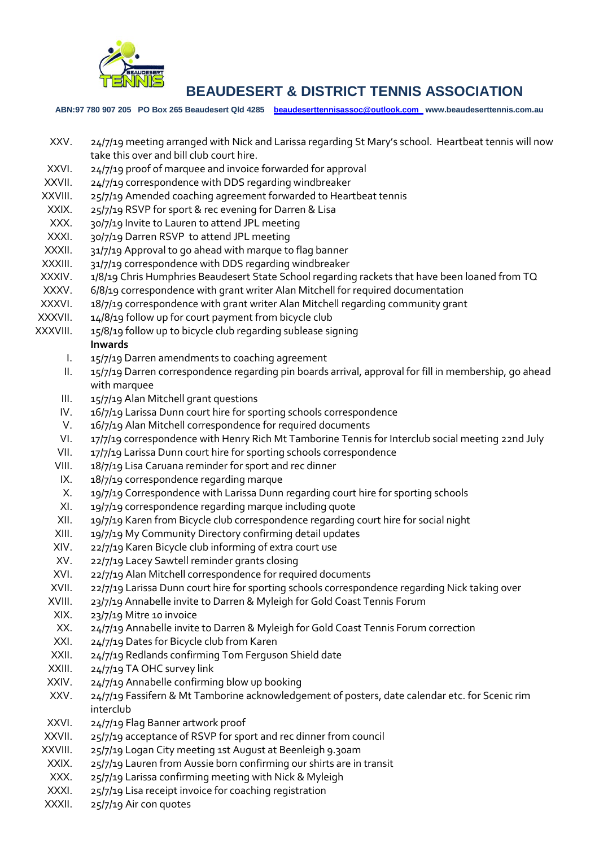

**ABN:97 780 907 205 PO Box 265 Beaudesert Qld 4285 [beaudeserttennisassoc@outlook.com](mailto:beaudeserttennisassoc@outlook.com) www.beaudeserttennis.com.au**

- XXV. 24/7/19 meeting arranged with Nick and Larissa regarding St Mary's school. Heartbeat tennis will now take this over and bill club court hire.
- XXVI. 24/7/19 proof of marquee and invoice forwarded for approval
- XXVII. 24/7/19 correspondence with DDS regarding windbreaker
- XXVIII. 25/7/19 Amended coaching agreement forwarded to Heartbeat tennis
- XXIX. 25/7/19 RSVP for sport & rec evening for Darren & Lisa
- XXX. 30/7/19 Invite to Lauren to attend JPL meeting
- XXXI. 30/7/19 Darren RSVP to attend JPL meeting
- XXXII. 31/7/19 Approval to go ahead with marque to flag banner
- XXXIII. 31/7/19 correspondence with DDS regarding windbreaker
- XXXIV. 1/8/19 Chris Humphries Beaudesert State School regarding rackets that have been loaned from TQ
- XXXV. 6/8/19 correspondence with grant writer Alan Mitchell for required documentation
- XXXVI. 18/7/19 correspondence with grant writer Alan Mitchell regarding community grant
- XXXVII. 14/8/19 follow up for court payment from bicycle club
- XXXVIII. 15/8/19 follow up to bicycle club regarding sublease signing

### **Inwards**

- I. 15/7/19 Darren amendments to coaching agreement
- II. 15/7/19 Darren correspondence regarding pin boards arrival, approval for fill in membership, go ahead with marquee
- III. 15/7/19 Alan Mitchell grant questions
- IV. 16/7/19 Larissa Dunn court hire for sporting schools correspondence
- V. 16/7/19 Alan Mitchell correspondence for required documents
- VI. 17/7/19 correspondence with Henry Rich Mt Tamborine Tennis for Interclub social meeting 22nd July
- VII. 17/7/19 Larissa Dunn court hire for sporting schools correspondence
- VIII. 18/7/19 Lisa Caruana reminder for sport and rec dinner
- IX. 18/7/19 correspondence regarding marque
- X. 19/7/19 Correspondence with Larissa Dunn regarding court hire for sporting schools
- XI. 19/7/19 correspondence regarding marque including quote
- XII. 19/7/19 Karen from Bicycle club correspondence regarding court hire for social night
- XIII. 19/7/19 My Community Directory confirming detail updates
- XIV. 22/7/19 Karen Bicycle club informing of extra court use
- XV. 22/7/19 Lacey Sawtell reminder grants closing
- XVI. 22/7/19 Alan Mitchell correspondence for required documents
- XVII. 22/7/19 Larissa Dunn court hire for sporting schools correspondence regarding Nick taking over
- XVIII. 23/7/19 Annabelle invite to Darren & Myleigh for Gold Coast Tennis Forum
- XIX. 23/7/19 Mitre 10 invoice
- XX. 24/7/19 Annabelle invite to Darren & Myleigh for Gold Coast Tennis Forum correction
- XXI. 24/7/19 Dates for Bicycle club from Karen
- XXII. 24/7/19 Redlands confirming Tom Ferguson Shield date
- XXIII. 24/7/19 TA OHC survey link
- XXIV. 24/7/19 Annabelle confirming blow up booking
- XXV. 24/7/19 Fassifern & Mt Tamborine acknowledgement of posters, date calendar etc. for Scenic rim interclub
- XXVI. 24/7/19 Flag Banner artwork proof
- XXVII. 25/7/19 acceptance of RSVP for sport and rec dinner from council
- XXVIII. 25/7/19 Logan City meeting 1st August at Beenleigh 9.30am
- XXIX. 25/7/19 Lauren from Aussie born confirming our shirts are in transit
- XXX. 25/7/19 Larissa confirming meeting with Nick & Myleigh
- XXXI. 25/7/19 Lisa receipt invoice for coaching registration
- XXXII. 25/7/19 Air con quotes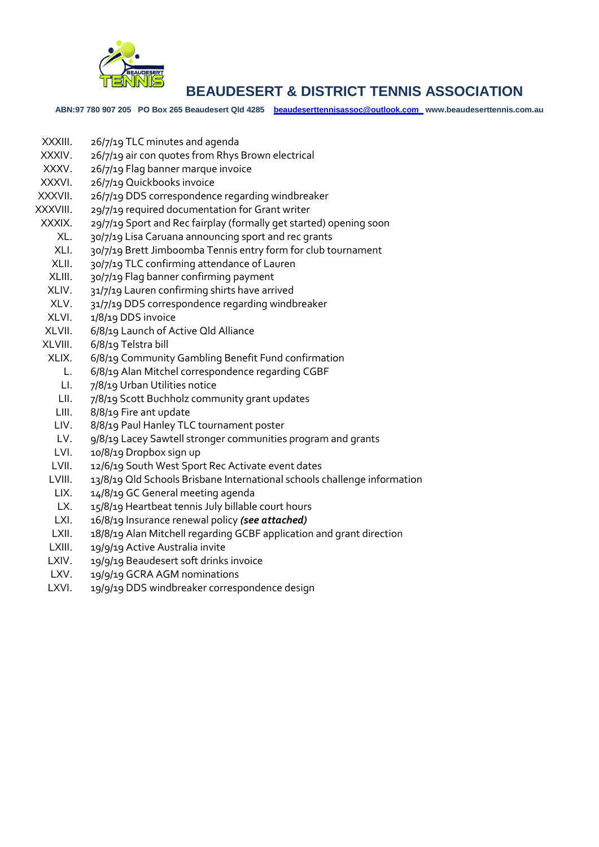

**ABN:97 780 907 205 PO Box 265 Beaudesert Qld 4285 [beaudeserttennisassoc@outlook.com](mailto:beaudeserttennisassoc@outlook.com) www.beaudeserttennis.com.au**

- XXXIII. 26/7/19 TLC minutes and agenda
- XXXIV. 26/7/19 air con quotes from Rhys Brown electrical
- XXXV. 26/7/19 Flag banner marque invoice
- XXXVI. 26/7/19 Quickbooks invoice
- XXXVII. 26/7/19 DDS correspondence regarding windbreaker
- XXXVIII. 29/7/19 required documentation for Grant writer
- XXXIX. 29/7/19 Sport and Rec fairplay (formally get started) opening soon
- XL. 30/7/19 Lisa Caruana announcing sport and rec grants
- XLI. 30/7/19 Brett Jimboomba Tennis entry form for club tournament
- XLII. 30/7/19 TLC confirming attendance of Lauren
- XLIII. 30/7/19 Flag banner confirming payment
- XLIV. 31/7/19 Lauren confirming shirts have arrived
- XLV. 31/7/19 DDS correspondence regarding windbreaker
- XLVI. 1/8/19 DDS invoice
- XLVII. 6/8/19 Launch of Active Qld Alliance
- XLVIII. 6/8/19 Telstra bill
- XLIX. 6/8/19 Community Gambling Benefit Fund confirmation
- L. 6/8/19 Alan Mitchel correspondence regarding CGBF
- LI. 7/8/19 Urban Utilities notice
- LII. 7/8/19 Scott Buchholz community grant updates
- LIII. 8/8/19 Fire ant update
- LIV. 8/8/19 Paul Hanley TLC tournament poster
- LV. 9/8/19 Lacey Sawtell stronger communities program and grants
- LVI. 10/8/19 Dropbox sign up
- LVII. 12/6/19 South West Sport Rec Activate event dates
- LVIII. 13/8/19 Qld Schools Brisbane International schools challenge information
- LIX. 14/8/19 GC General meeting agenda
- LX. 15/8/19 Heartbeat tennis July billable court hours
- LXI. 16/8/19 Insurance renewal policy *(see attached)*
- LXII. 18/8/19 Alan Mitchell regarding GCBF application and grant direction
- LXIII. 19/9/19 Active Australia invite
- LXIV. 19/9/19 Beaudesert soft drinks invoice
- LXV. 19/9/19 GCRA AGM nominations
- LXVI. 19/9/19 DDS windbreaker correspondence design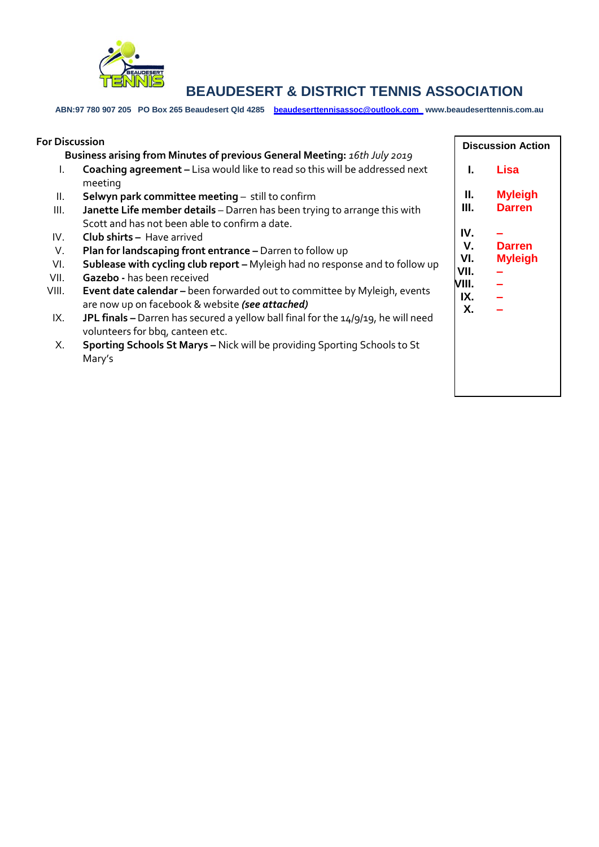

**ABN:97 780 907 205 PO Box 265 Beaudesert Qld 4285 [beaudeserttennisassoc@outlook.com](mailto:beaudeserttennisassoc@outlook.com) www.beaudeserttennis.com.au**

| <b>For Discussion</b>                                                     |                                                                                                                       | <b>Discussion Action</b> |                      |
|---------------------------------------------------------------------------|-----------------------------------------------------------------------------------------------------------------------|--------------------------|----------------------|
| Business arising from Minutes of previous General Meeting: 16th July 2019 |                                                                                                                       |                          |                      |
| L.                                                                        | Coaching agreement - Lisa would like to read so this will be addressed next<br>meeting                                | L                        | Lisa                 |
| II.                                                                       | Selwyn park committee meeting - still to confirm                                                                      | Ш.                       | <b>Myleigh</b>       |
| Ш.                                                                        | Janette Life member details - Darren has been trying to arrange this with                                             | III.                     | <b>Darren</b>        |
|                                                                           | Scott and has not been able to confirm a date.                                                                        |                          |                      |
| IV.                                                                       | <b>Club shirts - Have arrived</b>                                                                                     | IV.                      |                      |
| V.                                                                        | Plan for landscaping front entrance - Darren to follow up                                                             | V.                       | <b>Darren</b>        |
| VI.                                                                       | Sublease with cycling club report - Myleigh had no response and to follow up                                          | VI.<br>VII.              | <b>Myleigh</b>       |
| VII.                                                                      | Gazebo - has been received                                                                                            | VIII.                    | $\equiv$<br>$\equiv$ |
| VIII.                                                                     | Event date calendar - been forwarded out to committee by Myleigh, events                                              | IX.                      |                      |
|                                                                           | are now up on facebook & website (see attached)                                                                       | Χ.                       |                      |
| IX.                                                                       | JPL finals - Darren has secured a yellow ball final for the 14/9/19, he will need<br>volunteers for bbq, canteen etc. |                          |                      |
| Х.                                                                        | Sporting Schools St Marys - Nick will be providing Sporting Schools to St                                             |                          |                      |
|                                                                           | Mary's                                                                                                                |                          |                      |
|                                                                           |                                                                                                                       |                          |                      |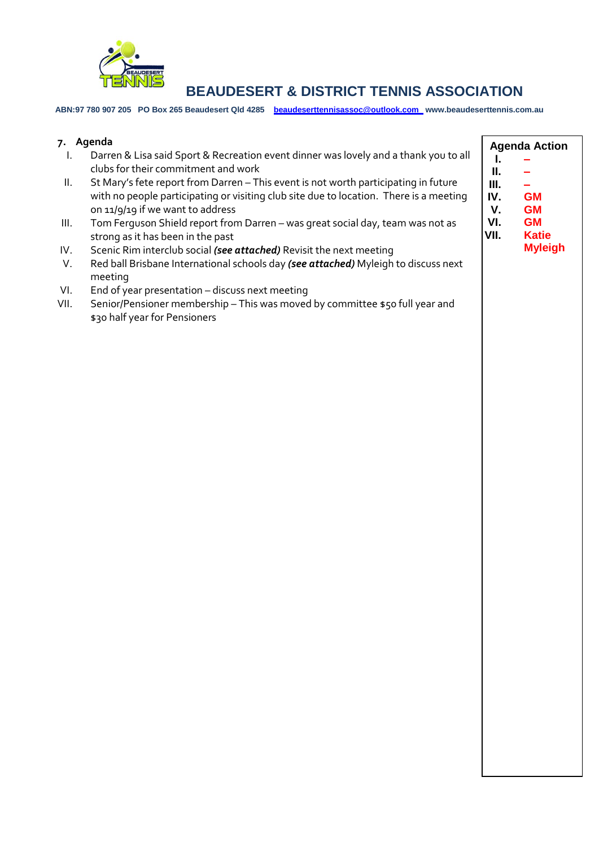

**ABN:97 780 907 205 PO Box 265 Beaudesert Qld 4285 [beaudeserttennisassoc@outlook.com](mailto:beaudeserttennisassoc@outlook.com) www.beaudeserttennis.com.au**

|      | 7. Agenda                                                                              | <b>Agenda Action</b> |                |  |
|------|----------------------------------------------------------------------------------------|----------------------|----------------|--|
| I.   | Darren & Lisa said Sport & Recreation event dinner was lovely and a thank you to all   | Ι.                   |                |  |
|      | clubs for their commitment and work                                                    | П.                   |                |  |
| Ш.   | St Mary's fete report from Darren - This event is not worth participating in future    | III.                 |                |  |
|      | with no people participating or visiting club site due to location. There is a meeting | IV.                  | <b>GM</b>      |  |
|      | on 11/9/19 if we want to address                                                       | V.                   | <b>GM</b>      |  |
| III. | Tom Ferguson Shield report from Darren - was great social day, team was not as         | VI.                  | <b>GM</b>      |  |
|      | strong as it has been in the past                                                      | VII.                 | <b>Katie</b>   |  |
| IV.  | Scenic Rim interclub social (see attached) Revisit the next meeting                    |                      | <b>Myleigh</b> |  |
| V.   | Red ball Brisbane International schools day (see attached) Myleigh to discuss next     |                      |                |  |
|      | meeting                                                                                |                      |                |  |
|      |                                                                                        |                      |                |  |
| VI.  | End of year presentation - discuss next meeting                                        |                      |                |  |
| VII. | Senior/Pensioner membership - This was moved by committee \$50 full year and           |                      |                |  |
|      | \$30 half year for Pensioners                                                          |                      |                |  |
|      |                                                                                        |                      |                |  |
|      |                                                                                        |                      |                |  |
|      |                                                                                        |                      |                |  |
|      |                                                                                        |                      |                |  |
|      |                                                                                        |                      |                |  |
|      |                                                                                        |                      |                |  |
|      |                                                                                        |                      |                |  |
|      |                                                                                        |                      |                |  |
|      |                                                                                        |                      |                |  |
|      |                                                                                        |                      |                |  |
|      |                                                                                        |                      |                |  |
|      |                                                                                        |                      |                |  |
|      |                                                                                        |                      |                |  |
|      |                                                                                        |                      |                |  |
|      |                                                                                        |                      |                |  |
|      |                                                                                        |                      |                |  |
|      |                                                                                        |                      |                |  |
|      |                                                                                        |                      |                |  |
|      |                                                                                        |                      |                |  |
|      |                                                                                        |                      |                |  |
|      |                                                                                        |                      |                |  |
|      |                                                                                        |                      |                |  |
|      |                                                                                        |                      |                |  |
|      |                                                                                        |                      |                |  |
|      |                                                                                        |                      |                |  |
|      |                                                                                        |                      |                |  |
|      |                                                                                        |                      |                |  |
|      |                                                                                        |                      |                |  |
|      |                                                                                        |                      |                |  |
|      |                                                                                        |                      |                |  |
|      |                                                                                        |                      |                |  |
|      |                                                                                        |                      |                |  |
|      |                                                                                        |                      |                |  |
|      |                                                                                        |                      |                |  |
|      |                                                                                        |                      |                |  |
|      |                                                                                        |                      |                |  |